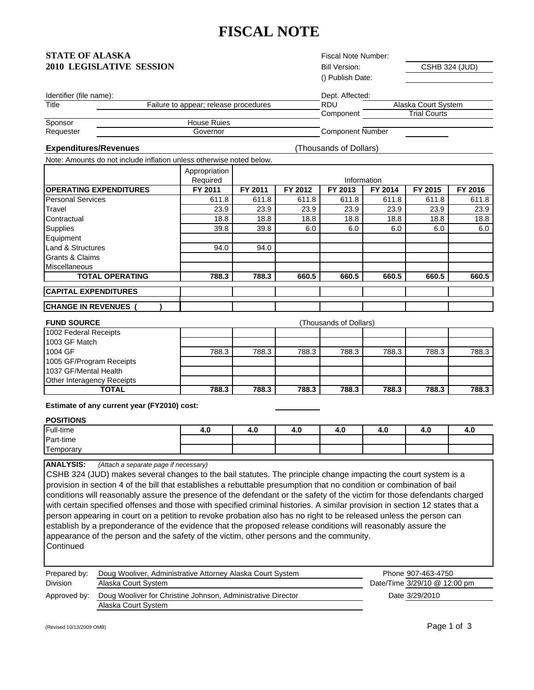# **FISCAL NOTE**

## **STATE OF ALASKA 2010 LEGISLATIVE SESSION**

Fiscal Note Number: Bill Version: () Publish Date:

CSHB 324 (JUD)

| Identifier (file name): |                                       | Dept. Affected:         |                     |
|-------------------------|---------------------------------------|-------------------------|---------------------|
| Title                   | Failure to appear; release procedures | <b>RDU</b>              | Alaska Court System |
|                         |                                       | Component               | <b>Trial Courts</b> |
| Sponsor                 | <b>House Rujes</b>                    |                         |                     |
| Requester               | Governor                              | <b>Component Number</b> |                     |

### **Expenditures/Revenues**

(Thousands of Dollars)

Note: Amounts do not include inflation unless otherwise noted below.

|                                | Appropriation |             |         |         |         |         |         |
|--------------------------------|---------------|-------------|---------|---------|---------|---------|---------|
|                                | Required      | Information |         |         |         |         |         |
| <b>IOPERATING EXPENDITURES</b> | FY 2011       | FY 2011     | FY 2012 | FY 2013 | FY 2014 | FY 2015 | FY 2016 |
| <b>Personal Services</b>       | 611.8         | 611.8       | 611.8   | 611.8   | 611.8   | 611.8   | 611.8   |
| Travel                         | 23.9          | 23.9        | 23.9    | 23.9    | 23.9    | 23.9    | 23.9    |
| Contractual                    | 18.8          | 18.8        | 18.8    | 18.8    | 18.8    | 18.8    | 18.8    |
| <b>Supplies</b>                | 39.8          | 39.8        | 6.0     | 6.0     | 6.0     | 6.0     | 6.0     |
| Equipment                      |               |             |         |         |         |         |         |
| <b>Land &amp; Structures</b>   | 94.0          | 94.0        |         |         |         |         |         |
| Grants & Claims                |               |             |         |         |         |         |         |
| Miscellaneous                  |               |             |         |         |         |         |         |
| <b>TOTAL OPERATING</b>         | 788.3         | 788.3       | 660.5   | 660.5   | 660.5   | 660.5   | 660.5   |
| <b>CAPITAL EXPENDITURES</b>    |               |             |         |         |         |         |         |
| <b>CHANGE IN REVENUES</b>      |               |             |         |         |         |         |         |

| <b>FUND SOURCE</b>         | (Thousands of Dollars) |       |       |       |       |       |       |
|----------------------------|------------------------|-------|-------|-------|-------|-------|-------|
| 1002 Federal Receipts      |                        |       |       |       |       |       |       |
| 1003 GF Match              |                        |       |       |       |       |       |       |
| 1004 GF                    | 788.3                  | 788.3 | 788.3 | 788.3 | 788.3 | 788.3 | 788.3 |
| 1005 GF/Program Receipts   |                        |       |       |       |       |       |       |
| 1037 GF/Mental Health      |                        |       |       |       |       |       |       |
| Other Interagency Receipts |                        |       |       |       |       |       |       |
| <b>TOTAL</b>               | 788.3                  | 788.3 | 788.3 | 788.3 | 788.3 | 788.3 | 788.3 |

**Estimate of any current year (FY2010) cost:** 

### **POSITIONS**

| Full-time       | 4.L | -<br>4.U | 4.U | 4.U | - - | 4.U | 4.U |
|-----------------|-----|----------|-----|-----|-----|-----|-----|
| Part-time       |     |          |     |     |     |     |     |
| --<br>Гemporarv |     |          |     |     |     |     |     |

#### **ANALYSIS:** *(Attach a separate page if necessary)*

CSHB 324 (JUD) makes several changes to the bail statutes. The principle change impacting the court system is a provision in section 4 of the bill that establishes a rebuttable presumption that no condition or combination of bail conditions will reasonably assure the presence of the defendant or the safety of the victim for those defendants charged with certain specified offenses and those with specified criminal histories. A similar provision in section 12 states that a person appearing in court on a petition to revoke probation also has no right to be released unless the person can establish by a preponderance of the evidence that the proposed release conditions will reasonably assure the appearance of the person and the safety of the victim, other persons and the community. **Continued** 

| Prepared by:    | Doug Wooliver, Administrative Attorney Alaska Court System   | Phone 907-463-4750           |
|-----------------|--------------------------------------------------------------|------------------------------|
| <b>Division</b> | Alaska Court System                                          | Date/Time 3/29/10 @ 12:00 pm |
| Approved by:    | Doug Wooliver for Christine Johnson, Administrative Director | Date 3/29/2010               |
|                 | Alaska Court System                                          |                              |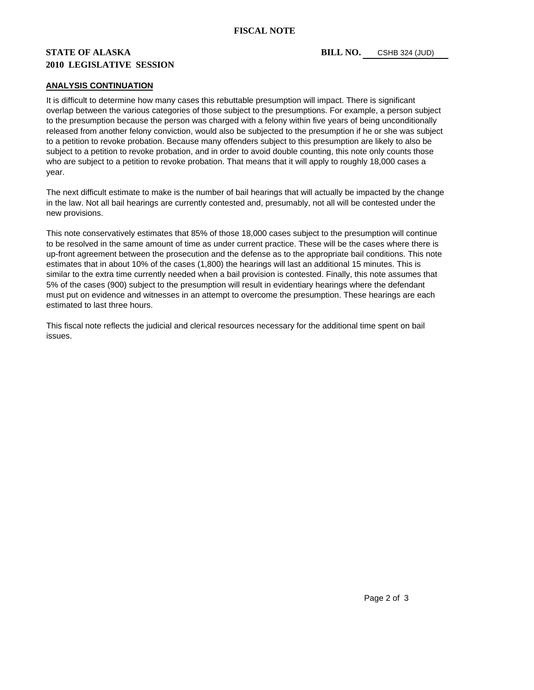## **STATE OF ALASKA** BILL NO. **2010 LEGISLATIVE SESSION**

### **ANALYSIS CONTINUATION**

It is difficult to determine how many cases this rebuttable presumption will impact. There is significant overlap between the various categories of those subject to the presumptions. For example, a person subject to the presumption because the person was charged with a felony within five years of being unconditionally released from another felony conviction, would also be subjected to the presumption if he or she was subject to a petition to revoke probation. Because many offenders subject to this presumption are likely to also be subject to a petition to revoke probation, and in order to avoid double counting, this note only counts those who are subject to a petition to revoke probation. That means that it will apply to roughly 18,000 cases a year.

The next difficult estimate to make is the number of bail hearings that will actually be impacted by the change in the law. Not all bail hearings are currently contested and, presumably, not all will be contested under the new provisions.

This note conservatively estimates that 85% of those 18,000 cases subject to the presumption will continue to be resolved in the same amount of time as under current practice. These will be the cases where there is up-front agreement between the prosecution and the defense as to the appropriate bail conditions. This note estimates that in about 10% of the cases (1,800) the hearings will last an additional 15 minutes. This is similar to the extra time currently needed when a bail provision is contested. Finally, this note assumes that 5% of the cases (900) subject to the presumption will result in evidentiary hearings where the defendant must put on evidence and witnesses in an attempt to overcome the presumption. These hearings are each estimated to last three hours.

This fiscal note reflects the judicial and clerical resources necessary for the additional time spent on bail issues.